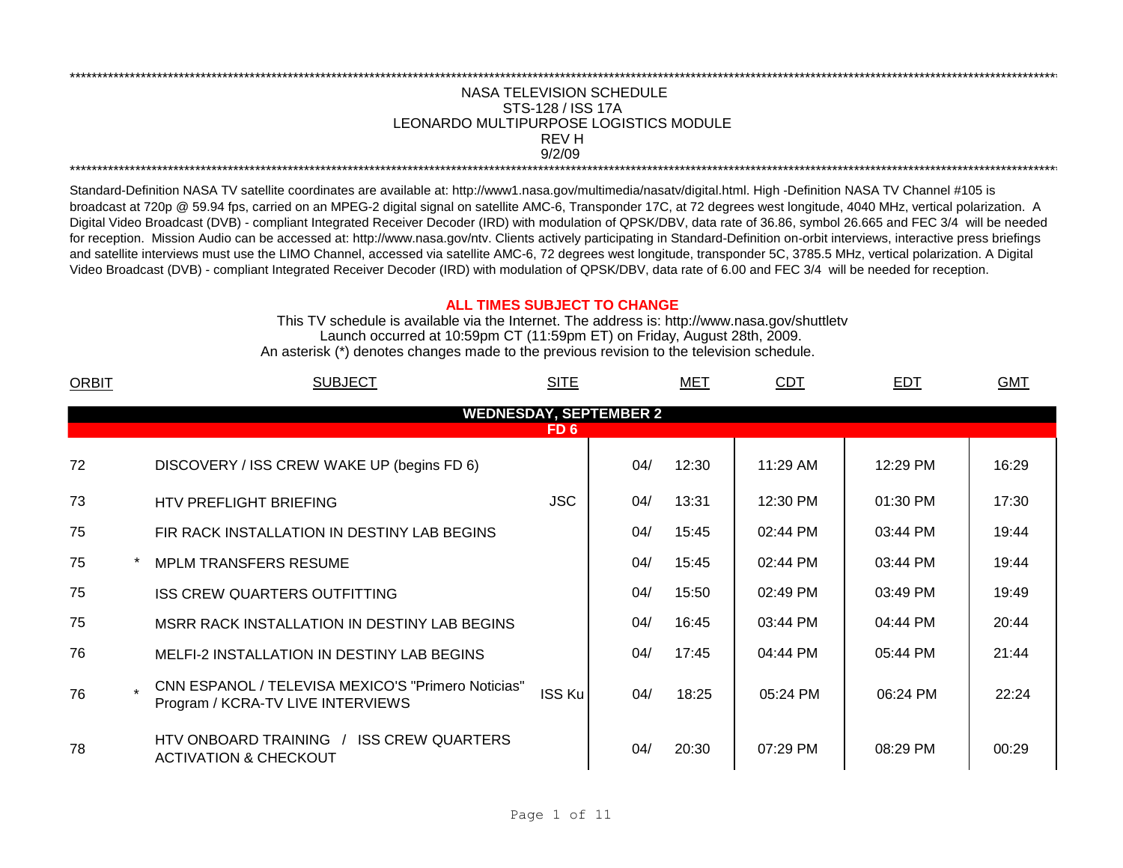## NASA TELEVISION SCHEDULE STS-128 / ISS 17A 9/2/09 \*\*\*\*\*\*\*\*\*\*\*\*\*\*\*\*\*\*\*\*\*\*\*\*\*\*\*\*\*\*\*\*\*\*\*\*\*\*\*\*\*\*\*\*\*\*\*\*\*\*\*\*\*\*\*\*\*\*\*\*\*\*\*\*\*\*\*\*\*\*\*\*\*\*\*\*\*\*\*\*\*\*\*\*\*\*\*\*\*\*\*\*\*\*\*\*\*\*\*\*\*\*\*\*\*\*\*\*\*\*\*\*\*\*\*\*\*\*\*\*\*\*\*\*\*\*\*\*\*\*\*\*\*\*\*\*\*\*\*\*\*\*\*\*\*\*\*\*\*\*\*\*\*\*\*\*\*\*\*\*\*\*\*\*\*\*\*\*\*\*\*\*\*\*\*\*\*\*\*\*\*\*\*\*\* REV H LEONARDO MULTIPURPOSE LOGISTICS MODULE

\*\*\*\*\*\*\*\*\*\*\*\*\*\*\*\*\*\*\*\*\*\*\*\*\*\*\*\*\*\*\*\*\*\*\*\*\*\*\*\*\*\*\*\*\*\*\*\*\*\*\*\*\*\*\*\*\*\*\*\*\*\*\*\*\*\*\*\*\*\*\*\*\*\*\*\*\*\*\*\*\*\*\*\*\*\*\*\*\*\*\*\*\*\*\*\*\*\*\*\*\*\*\*\*\*\*\*\*\*\*\*\*\*\*\*\*\*\*\*\*\*\*\*\*\*\*\*\*\*\*\*\*\*\*\*\*\*\*\*\*\*\*\*\*\*\*\*\*\*\*\*\*\*\*\*\*\*\*\*\*\*\*\*\*\*\*\*\*\*\*\*\*\*\*\*\*\*\*\*\*\*\*\*\*\*

Standard-Definition NASA TV satellite coordinates are available at: http://www1.nasa.gov/multimedia/nasatv/digital.html. High -Definition NASA TV Channel #105 is broadcast at 720p @ 59.94 fps, carried on an MPEG-2 digital signal on satellite AMC-6, Transponder 17C, at 72 degrees west longitude, 4040 MHz, vertical polarization. A Digital Video Broadcast (DVB) - compliant Integrated Receiver Decoder (IRD) with modulation of QPSK/DBV, data rate of 36.86, symbol 26.665 and FEC 3/4 will be needed for reception. Mission Audio can be accessed at: http://www.nasa.gov/ntv. Clients actively participating in Standard-Definition on-orbit interviews, interactive press briefings and satellite interviews must use the LIMO Channel, accessed via satellite AMC-6, 72 degrees west longitude, transponder 5C, 3785.5 MHz, vertical polarization. A Digital Video Broadcast (DVB) - compliant Integrated Receiver Decoder (IRD) with modulation of QPSK/DBV, data rate of 6.00 and FEC 3/4 will be needed for reception.

## **ALL TIMES SUBJECT TO CHANGE**

Launch occurred at 10:59pm CT (11:59pm ET) on Friday, August 28th, 2009. An asterisk (\*) denotes changes made to the previous revision to the television schedule. This TV schedule is available via the Internet. The address is: http://www.nasa.gov/shuttletv

| <b>ORBIT</b> | <b>SUBJECT</b>                                                                          | <b>SITE</b> |                               | MET   | <b>CDT</b> | EDT        | <b>GMT</b> |
|--------------|-----------------------------------------------------------------------------------------|-------------|-------------------------------|-------|------------|------------|------------|
|              |                                                                                         |             | <b>WEDNESDAY, SEPTEMBER 2</b> |       |            |            |            |
|              |                                                                                         | FD 6        |                               |       |            |            |            |
| 72           | DISCOVERY / ISS CREW WAKE UP (begins FD 6)                                              |             | 04/                           | 12:30 | 11:29 AM   | 12:29 PM   | 16:29      |
| 73           | HTV PREFLIGHT BRIEFING                                                                  | <b>JSC</b>  | 04/                           | 13:31 | 12:30 PM   | $01:30$ PM | 17:30      |
| 75           | FIR RACK INSTALLATION IN DESTINY LAB BEGINS                                             |             | 04/                           | 15:45 | 02:44 PM   | 03:44 PM   | 19:44      |
| 75           | <b>MPLM TRANSFERS RESUME</b>                                                            |             | 04/                           | 15:45 | 02:44 PM   | 03:44 PM   | 19:44      |
| 75           | <b>ISS CREW QUARTERS OUTFITTING</b>                                                     |             | 04/                           | 15:50 | 02:49 PM   | 03:49 PM   | 19:49      |
| 75           | MSRR RACK INSTALLATION IN DESTINY LAB BEGINS                                            |             | 04/                           | 16:45 | 03:44 PM   | 04:44 PM   | 20:44      |
| 76           | <b>MELFI-2 INSTALLATION IN DESTINY LAB BEGINS</b>                                       |             | 04/                           | 17:45 | 04:44 PM   | 05:44 PM   | 21:44      |
| 76           | CNN ESPANOL / TELEVISA MEXICO'S "Primero Noticias"<br>Program / KCRA-TV LIVE INTERVIEWS | ISS Ku      | 04/                           | 18:25 | 05:24 PM   | 06:24 PM   | 22:24      |
| 78           | <b>ISS CREW QUARTERS</b><br>HTV ONBOARD TRAINING<br><b>ACTIVATION &amp; CHECKOUT</b>    |             | 04/                           | 20:30 | 07:29 PM   | 08:29 PM   | 00:29      |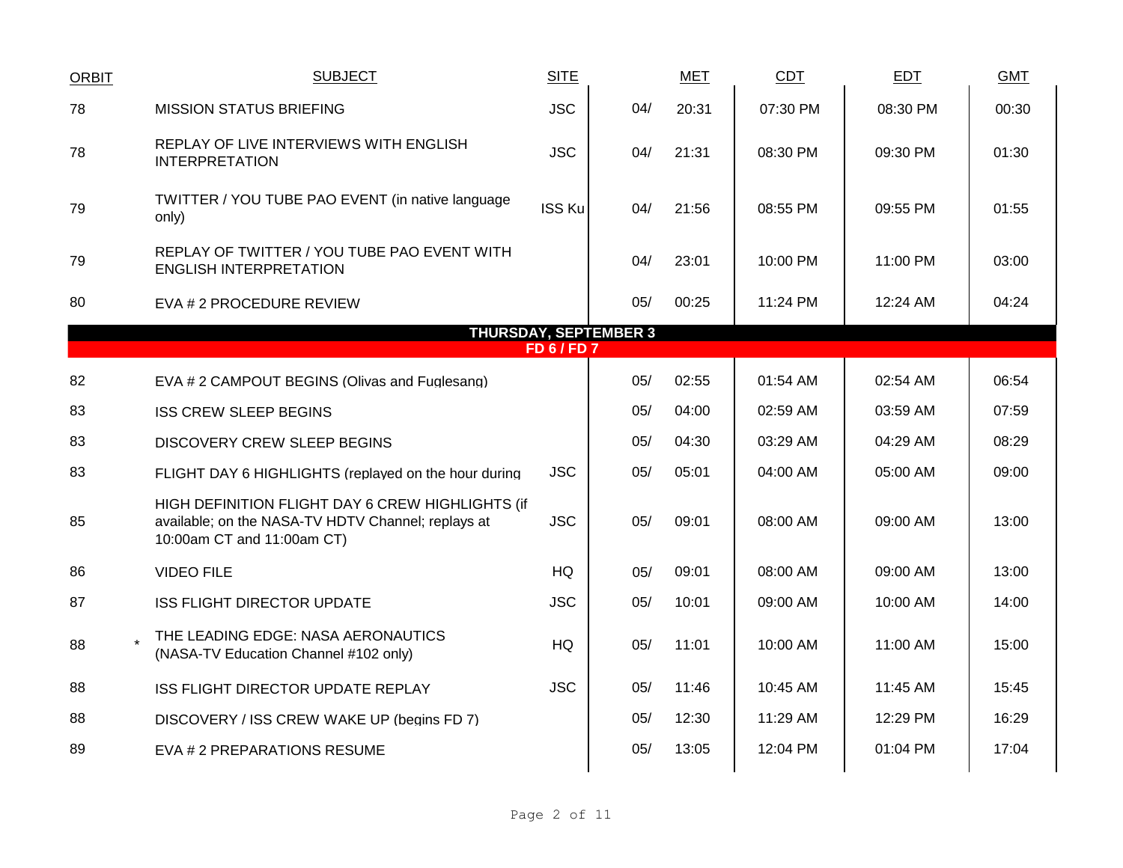| <b>ORBIT</b>     | <b>SUBJECT</b>                                                                                                                       | <b>SITE</b>   |                              | <b>MET</b> | CDT        | <b>EDT</b> | <b>GMT</b> |  |  |  |
|------------------|--------------------------------------------------------------------------------------------------------------------------------------|---------------|------------------------------|------------|------------|------------|------------|--|--|--|
| 78               | <b>MISSION STATUS BRIEFING</b>                                                                                                       | <b>JSC</b>    | 04/                          | 20:31      | 07:30 PM   | 08:30 PM   | 00:30      |  |  |  |
| 78               | REPLAY OF LIVE INTERVIEWS WITH ENGLISH<br><b>INTERPRETATION</b>                                                                      | <b>JSC</b>    | 04/                          | 21:31      | 08:30 PM   | 09:30 PM   | 01:30      |  |  |  |
| 79               | TWITTER / YOU TUBE PAO EVENT (in native language<br>only)                                                                            | <b>ISS Ku</b> | 04/                          | 21:56      | 08:55 PM   | 09:55 PM   | 01:55      |  |  |  |
| 79               | REPLAY OF TWITTER / YOU TUBE PAO EVENT WITH<br><b>ENGLISH INTERPRETATION</b>                                                         |               | 04/                          | 23:01      | 10:00 PM   | 11:00 PM   | 03:00      |  |  |  |
| 80               | EVA # 2 PROCEDURE REVIEW                                                                                                             |               | 05/                          | 00:25      | 11:24 PM   | 12:24 AM   | 04:24      |  |  |  |
|                  |                                                                                                                                      |               | <b>THURSDAY, SEPTEMBER 3</b> |            |            |            |            |  |  |  |
| <b>FD 6/FD 7</b> |                                                                                                                                      |               |                              |            |            |            |            |  |  |  |
| 82               | EVA # 2 CAMPOUT BEGINS (Olivas and Fuglesang)                                                                                        |               | 05/                          | 02:55      | 01:54 AM   | 02:54 AM   | 06:54      |  |  |  |
| 83               | <b>ISS CREW SLEEP BEGINS</b>                                                                                                         |               | 05/                          | 04:00      | 02:59 AM   | 03:59 AM   | 07:59      |  |  |  |
| 83               | <b>DISCOVERY CREW SLEEP BEGINS</b>                                                                                                   |               | 05/                          | 04:30      | 03:29 AM   | 04:29 AM   | 08:29      |  |  |  |
| 83               | FLIGHT DAY 6 HIGHLIGHTS (replayed on the hour during                                                                                 | <b>JSC</b>    | 05/                          | 05:01      | 04:00 AM   | 05:00 AM   | 09:00      |  |  |  |
| 85               | HIGH DEFINITION FLIGHT DAY 6 CREW HIGHLIGHTS (if<br>available; on the NASA-TV HDTV Channel; replays at<br>10:00am CT and 11:00am CT) | <b>JSC</b>    | 05/                          | 09:01      | 08:00 AM   | 09:00 AM   | 13:00      |  |  |  |
| 86               | <b>VIDEO FILE</b>                                                                                                                    | HQ            | 05/                          | 09:01      | 08:00 AM   | 09:00 AM   | 13:00      |  |  |  |
| 87               | <b>ISS FLIGHT DIRECTOR UPDATE</b>                                                                                                    | <b>JSC</b>    | 05/                          | 10:01      | 09:00 AM   | 10:00 AM   | 14:00      |  |  |  |
| 88               | THE LEADING EDGE: NASA AERONAUTICS<br>(NASA-TV Education Channel #102 only)                                                          | HQ            | 05/                          | 11:01      | 10:00 AM   | 11:00 AM   | 15:00      |  |  |  |
| 88               | ISS FLIGHT DIRECTOR UPDATE REPLAY                                                                                                    | <b>JSC</b>    | 05/                          | 11:46      | 10:45 AM   | 11:45 AM   | 15:45      |  |  |  |
| 88               | DISCOVERY / ISS CREW WAKE UP (begins FD 7)                                                                                           |               | 05/                          | 12:30      | $11:29$ AM | 12:29 PM   | 16:29      |  |  |  |
| 89               | EVA # 2 PREPARATIONS RESUME                                                                                                          |               | 05/                          | 13:05      | 12:04 PM   | 01:04 PM   | 17:04      |  |  |  |
|                  |                                                                                                                                      |               |                              |            |            |            |            |  |  |  |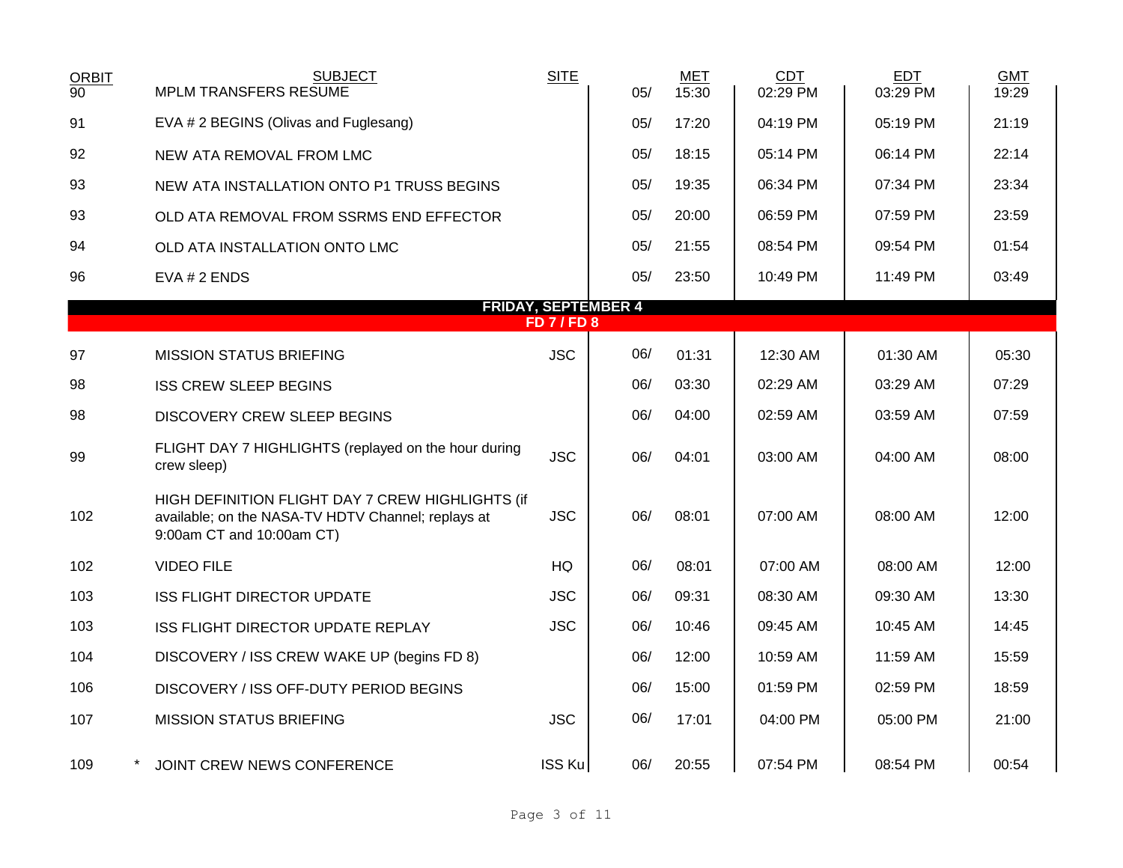| <b>ORBIT</b>    | <b>SUBJECT</b>                                                                                                                      | <b>SITE</b>    |                            | MET   | <b>CDT</b> | <b>EDT</b> | <b>GMT</b> |
|-----------------|-------------------------------------------------------------------------------------------------------------------------------------|----------------|----------------------------|-------|------------|------------|------------|
| $\overline{90}$ | <b>MPLM TRANSFERS RESUME</b>                                                                                                        |                | 05/                        | 15:30 | 02:29 PM   | 03:29 PM   | 19:29      |
| 91              | EVA # 2 BEGINS (Olivas and Fuglesang)                                                                                               |                | 05/                        | 17:20 | 04:19 PM   | 05:19 PM   | 21:19      |
| 92              | NEW ATA REMOVAL FROM LMC                                                                                                            |                | 05/                        | 18:15 | 05:14 PM   | 06:14 PM   | 22:14      |
| 93              | NEW ATA INSTALLATION ONTO P1 TRUSS BEGINS                                                                                           |                | 05/                        | 19:35 | 06:34 PM   | 07:34 PM   | 23:34      |
| 93              | OLD ATA REMOVAL FROM SSRMS END EFFECTOR                                                                                             |                | 05/                        | 20:00 | 06:59 PM   | 07:59 PM   | 23:59      |
| 94              | OLD ATA INSTALLATION ONTO LMC                                                                                                       |                | 05/                        | 21:55 | 08:54 PM   | 09:54 PM   | 01:54      |
| 96              | EVA # 2 ENDS                                                                                                                        |                | 05/                        | 23:50 | 10:49 PM   | 11:49 PM   | 03:49      |
|                 |                                                                                                                                     |                | <b>FRIDAY, SEPTEMBER 4</b> |       |            |            |            |
|                 |                                                                                                                                     | <b>FD7/FD8</b> |                            |       |            |            |            |
| 97              | <b>MISSION STATUS BRIEFING</b>                                                                                                      | <b>JSC</b>     | 06/                        | 01:31 | 12:30 AM   | 01:30 AM   | 05:30      |
| 98              | <b>ISS CREW SLEEP BEGINS</b>                                                                                                        |                | 06/                        | 03:30 | 02:29 AM   | 03:29 AM   | 07:29      |
| 98              | DISCOVERY CREW SLEEP BEGINS                                                                                                         |                | 06/                        | 04:00 | 02:59 AM   | 03:59 AM   | 07:59      |
| 99              | FLIGHT DAY 7 HIGHLIGHTS (replayed on the hour during<br>crew sleep)                                                                 | <b>JSC</b>     | 06/                        | 04:01 | 03:00 AM   | 04:00 AM   | 08:00      |
| 102             | HIGH DEFINITION FLIGHT DAY 7 CREW HIGHLIGHTS (if<br>available; on the NASA-TV HDTV Channel; replays at<br>9:00am CT and 10:00am CT) | <b>JSC</b>     | 06/                        | 08:01 | 07:00 AM   | 08:00 AM   | 12:00      |
| 102             | <b>VIDEO FILE</b>                                                                                                                   | <b>HQ</b>      | 06/                        | 08:01 | 07:00 AM   | 08:00 AM   | 12:00      |
| 103             | <b>ISS FLIGHT DIRECTOR UPDATE</b>                                                                                                   | <b>JSC</b>     | 06/                        | 09:31 | 08:30 AM   | 09:30 AM   | 13:30      |
| 103             | ISS FLIGHT DIRECTOR UPDATE REPLAY                                                                                                   | <b>JSC</b>     | 06/                        | 10:46 | 09:45 AM   | 10:45 AM   | 14:45      |
| 104             | DISCOVERY / ISS CREW WAKE UP (begins FD 8)                                                                                          |                | 06/                        | 12:00 | 10:59 AM   | 11:59 AM   | 15:59      |
| 106             | DISCOVERY / ISS OFF-DUTY PERIOD BEGINS                                                                                              |                | 06/                        | 15:00 | 01:59 PM   | 02:59 PM   | 18:59      |
| 107             | <b>MISSION STATUS BRIEFING</b>                                                                                                      | <b>JSC</b>     | 06/                        | 17:01 | 04:00 PM   | 05:00 PM   | 21:00      |
| 109             | JOINT CREW NEWS CONFERENCE                                                                                                          | ISS Ku         | 06/                        | 20:55 | 07:54 PM   | 08:54 PM   | 00:54      |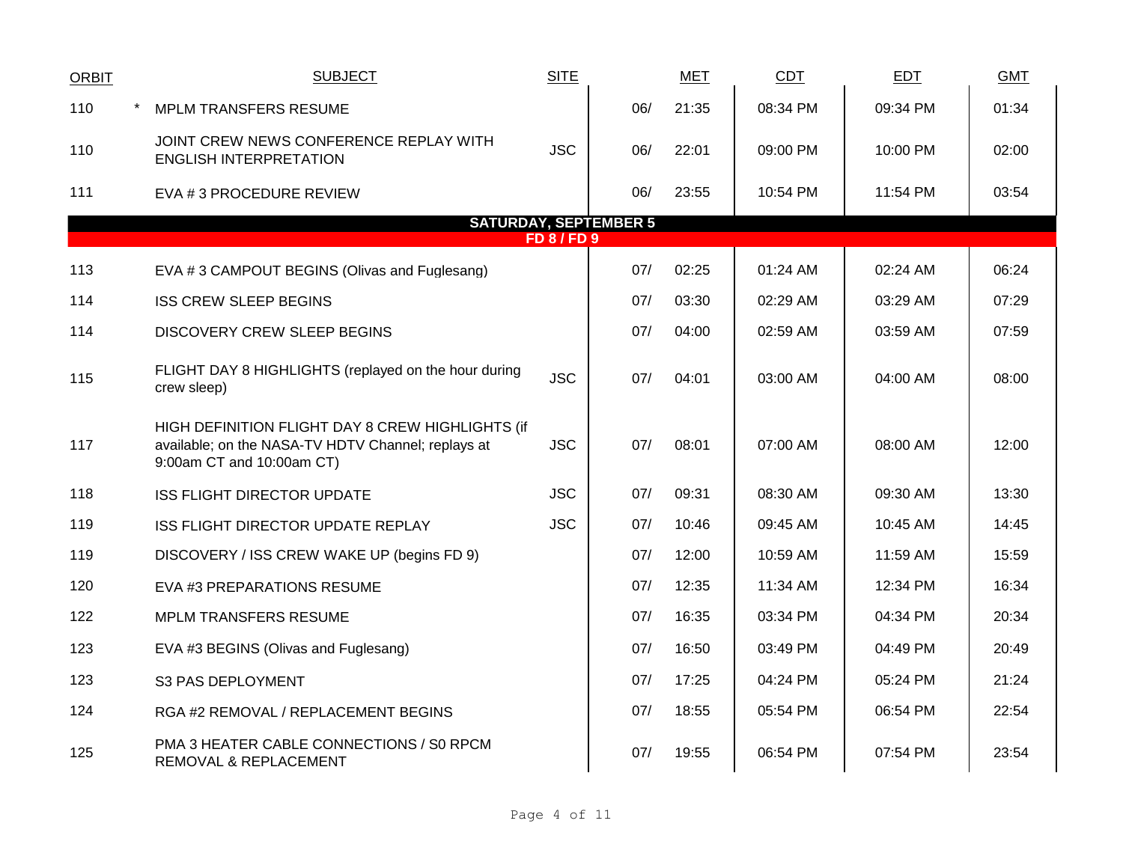| <b>ORBIT</b> | <b>SUBJECT</b>                                                                                                                      | <b>SITE</b>      |                              | MET   | CDT      | EDT      | <b>GMT</b> |
|--------------|-------------------------------------------------------------------------------------------------------------------------------------|------------------|------------------------------|-------|----------|----------|------------|
| 110          | <b>MPLM TRANSFERS RESUME</b>                                                                                                        |                  | 06/                          | 21:35 | 08:34 PM | 09:34 PM | 01:34      |
| 110          | JOINT CREW NEWS CONFERENCE REPLAY WITH<br><b>ENGLISH INTERPRETATION</b>                                                             | <b>JSC</b>       | 06/                          | 22:01 | 09:00 PM | 10:00 PM | 02:00      |
| 111          | EVA # 3 PROCEDURE REVIEW                                                                                                            |                  | 06/                          | 23:55 | 10:54 PM | 11:54 PM | 03:54      |
|              |                                                                                                                                     |                  | <b>SATURDAY, SEPTEMBER 5</b> |       |          |          |            |
|              |                                                                                                                                     | <b>FD 8/FD 9</b> |                              |       |          |          |            |
| 113          | EVA #3 CAMPOUT BEGINS (Olivas and Fuglesang)                                                                                        |                  | 07/                          | 02:25 | 01:24 AM | 02:24 AM | 06:24      |
| 114          | <b>ISS CREW SLEEP BEGINS</b>                                                                                                        |                  | 07/                          | 03:30 | 02:29 AM | 03:29 AM | 07:29      |
| 114          | DISCOVERY CREW SLEEP BEGINS                                                                                                         |                  | 07/                          | 04:00 | 02:59 AM | 03:59 AM | 07:59      |
| 115          | FLIGHT DAY 8 HIGHLIGHTS (replayed on the hour during<br>crew sleep)                                                                 | <b>JSC</b>       | 07/                          | 04:01 | 03:00 AM | 04:00 AM | 08:00      |
| 117          | HIGH DEFINITION FLIGHT DAY 8 CREW HIGHLIGHTS (if<br>available; on the NASA-TV HDTV Channel; replays at<br>9:00am CT and 10:00am CT) | <b>JSC</b>       | 07/                          | 08:01 | 07:00 AM | 08:00 AM | 12:00      |
| 118          | <b>ISS FLIGHT DIRECTOR UPDATE</b>                                                                                                   | <b>JSC</b>       | 07/                          | 09:31 | 08:30 AM | 09:30 AM | 13:30      |
| 119          | ISS FLIGHT DIRECTOR UPDATE REPLAY                                                                                                   | <b>JSC</b>       | 07/                          | 10:46 | 09:45 AM | 10:45 AM | 14:45      |
| 119          | DISCOVERY / ISS CREW WAKE UP (begins FD 9)                                                                                          |                  | 07/                          | 12:00 | 10:59 AM | 11:59 AM | 15:59      |
| 120          | EVA #3 PREPARATIONS RESUME                                                                                                          |                  | 07/                          | 12:35 | 11:34 AM | 12:34 PM | 16:34      |
| 122          | <b>MPLM TRANSFERS RESUME</b>                                                                                                        |                  | 07/                          | 16:35 | 03:34 PM | 04:34 PM | 20:34      |
| 123          | EVA #3 BEGINS (Olivas and Fuglesang)                                                                                                |                  | 07/                          | 16:50 | 03:49 PM | 04:49 PM | 20:49      |
| 123          | S3 PAS DEPLOYMENT                                                                                                                   |                  | 07/                          | 17:25 | 04:24 PM | 05:24 PM | 21:24      |
| 124          | RGA #2 REMOVAL / REPLACEMENT BEGINS                                                                                                 |                  | 07/                          | 18:55 | 05:54 PM | 06:54 PM | 22:54      |
| 125          | PMA 3 HEATER CABLE CONNECTIONS / S0 RPCM<br>REMOVAL & REPLACEMENT                                                                   |                  | 07/                          | 19:55 | 06:54 PM | 07:54 PM | 23:54      |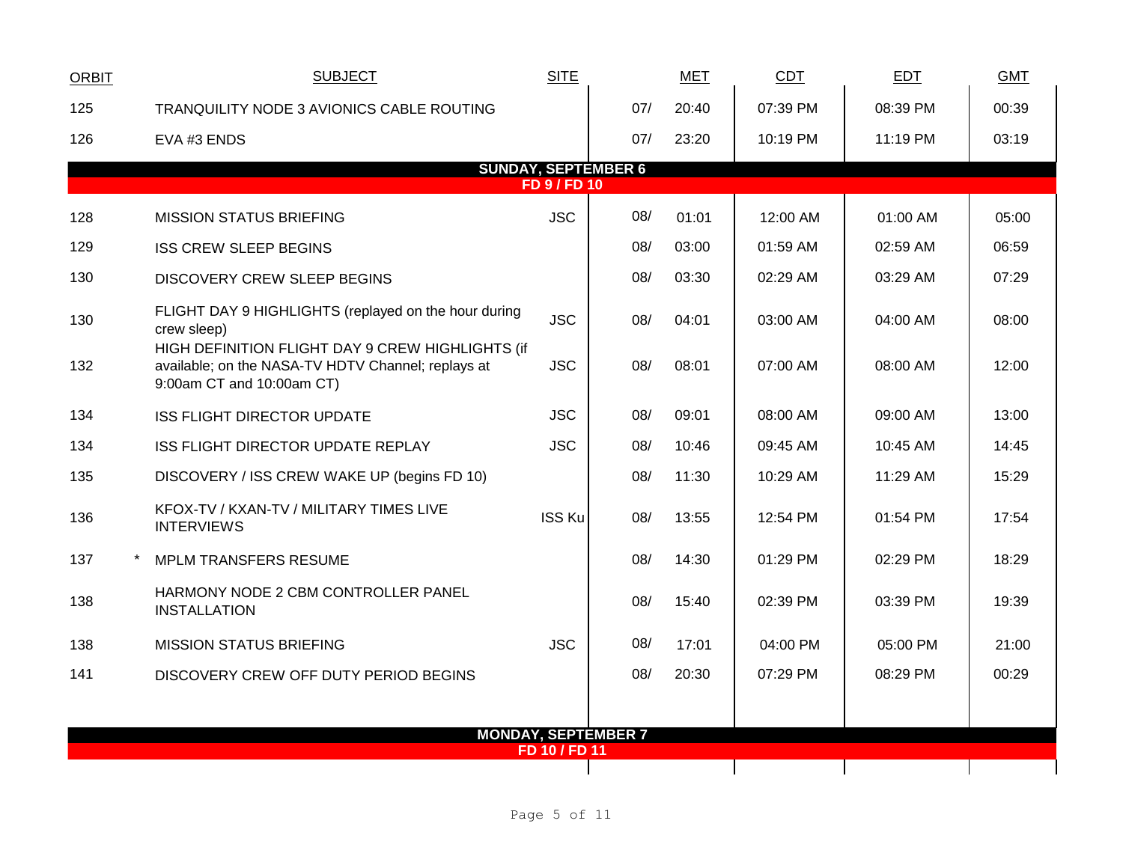| <b>ORBIT</b> | <b>SUBJECT</b>                                                                                                                      | <b>SITE</b>         |                            | MET   | <b>CDT</b> | EDT      | <b>GMT</b> |
|--------------|-------------------------------------------------------------------------------------------------------------------------------------|---------------------|----------------------------|-------|------------|----------|------------|
| 125          | TRANQUILITY NODE 3 AVIONICS CABLE ROUTING                                                                                           |                     | 07/                        | 20:40 | 07:39 PM   | 08:39 PM | 00:39      |
| 126          | EVA #3 ENDS                                                                                                                         |                     | 07/                        | 23:20 | 10:19 PM   | 11:19 PM | 03:19      |
|              |                                                                                                                                     | <b>FD 9 / FD 10</b> | <b>SUNDAY, SEPTEMBER 6</b> |       |            |          |            |
| 128          | <b>MISSION STATUS BRIEFING</b>                                                                                                      | <b>JSC</b>          | 08/                        | 01:01 | 12:00 AM   | 01:00 AM | 05:00      |
| 129          | <b>ISS CREW SLEEP BEGINS</b>                                                                                                        |                     | 08/                        | 03:00 | 01:59 AM   | 02:59 AM | 06:59      |
| 130          | DISCOVERY CREW SLEEP BEGINS                                                                                                         |                     | 08/                        | 03:30 | 02:29 AM   | 03:29 AM | 07:29      |
| 130          | FLIGHT DAY 9 HIGHLIGHTS (replayed on the hour during<br>crew sleep)                                                                 | <b>JSC</b>          | 08/                        | 04:01 | 03:00 AM   | 04:00 AM | 08:00      |
| 132          | HIGH DEFINITION FLIGHT DAY 9 CREW HIGHLIGHTS (if<br>available; on the NASA-TV HDTV Channel; replays at<br>9:00am CT and 10:00am CT) | <b>JSC</b>          | 08/                        | 08:01 | 07:00 AM   | 08:00 AM | 12:00      |
| 134          | <b>ISS FLIGHT DIRECTOR UPDATE</b>                                                                                                   | <b>JSC</b>          | 08/                        | 09:01 | 08:00 AM   | 09:00 AM | 13:00      |
| 134          | ISS FLIGHT DIRECTOR UPDATE REPLAY                                                                                                   | <b>JSC</b>          | 08/                        | 10:46 | 09:45 AM   | 10:45 AM | 14:45      |
| 135          | DISCOVERY / ISS CREW WAKE UP (begins FD 10)                                                                                         |                     | 08/                        | 11:30 | 10:29 AM   | 11:29 AM | 15:29      |
| 136          | KFOX-TV / KXAN-TV / MILITARY TIMES LIVE<br><b>INTERVIEWS</b>                                                                        | <b>ISS Ku</b>       | 08/                        | 13:55 | 12:54 PM   | 01:54 PM | 17:54      |
| 137          | MPLM TRANSFERS RESUME                                                                                                               |                     | 08/                        | 14:30 | 01:29 PM   | 02:29 PM | 18:29      |
| 138          | HARMONY NODE 2 CBM CONTROLLER PANEL<br><b>INSTALLATION</b>                                                                          |                     | 08/                        | 15:40 | 02:39 PM   | 03:39 PM | 19:39      |
| 138          | <b>MISSION STATUS BRIEFING</b>                                                                                                      | <b>JSC</b>          | 08/                        | 17:01 | 04:00 PM   | 05:00 PM | 21:00      |
| 141          | DISCOVERY CREW OFF DUTY PERIOD BEGINS                                                                                               |                     | 08/                        | 20:30 | 07:29 PM   | 08:29 PM | 00:29      |
|              |                                                                                                                                     |                     |                            |       |            |          |            |
|              | <b>MONDAY, SEPTEMBER 7</b>                                                                                                          | FD 10 / FD 11       |                            |       |            |          |            |
|              |                                                                                                                                     |                     |                            |       |            |          |            |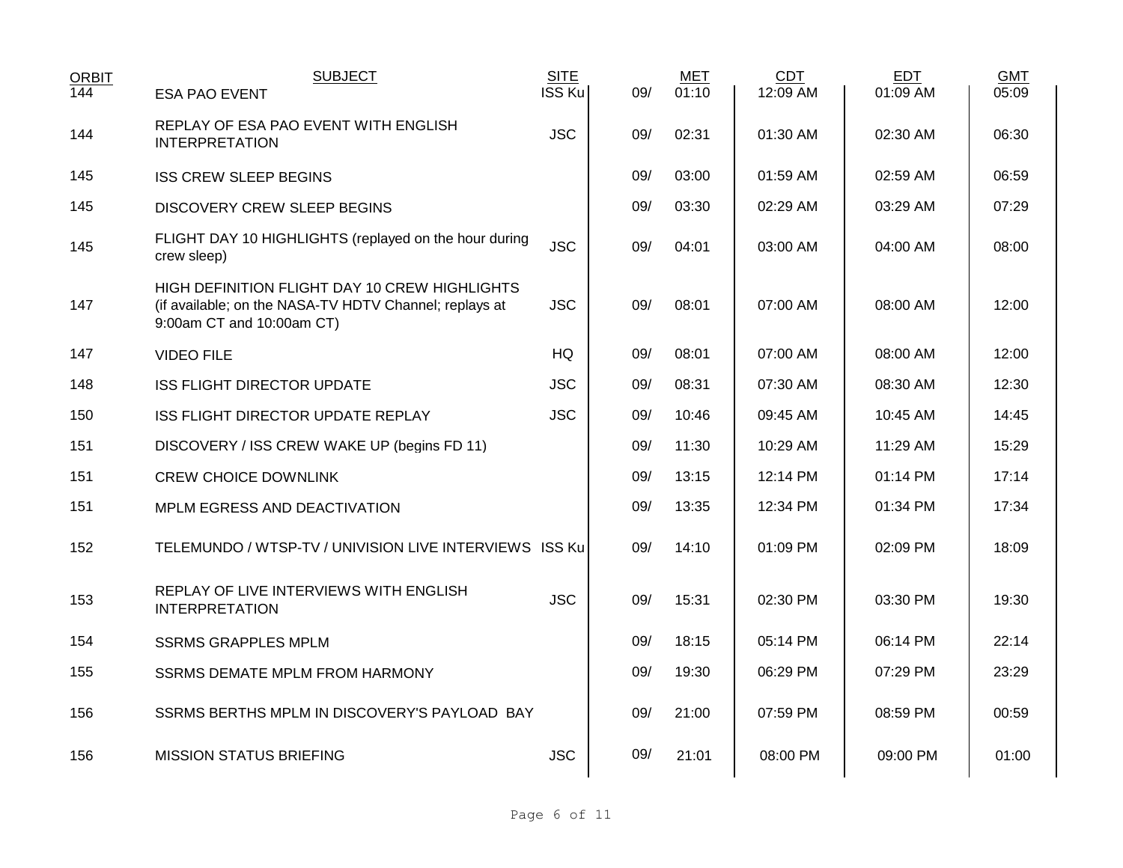| <b>ORBIT</b> | <b>SUBJECT</b>                                                                                                                       | <b>SITE</b> |     | MET   | <b>CDT</b> | <b>EDT</b> | <b>GMT</b> |
|--------------|--------------------------------------------------------------------------------------------------------------------------------------|-------------|-----|-------|------------|------------|------------|
| 144          | <b>ESA PAO EVENT</b>                                                                                                                 | ISS Ku      | 09/ | 01:10 | 12:09 AM   | 01:09 AM   | 05:09      |
| 144          | REPLAY OF ESA PAO EVENT WITH ENGLISH<br><b>INTERPRETATION</b>                                                                        | <b>JSC</b>  | 09/ | 02:31 | 01:30 AM   | 02:30 AM   | 06:30      |
| 145          | <b>ISS CREW SLEEP BEGINS</b>                                                                                                         |             | 09/ | 03:00 | 01:59 AM   | 02:59 AM   | 06:59      |
| 145          | <b>DISCOVERY CREW SLEEP BEGINS</b>                                                                                                   |             | 09/ | 03:30 | 02:29 AM   | 03:29 AM   | 07:29      |
| 145          | FLIGHT DAY 10 HIGHLIGHTS (replayed on the hour during<br>crew sleep)                                                                 | <b>JSC</b>  | 09/ | 04:01 | 03:00 AM   | 04:00 AM   | 08:00      |
| 147          | HIGH DEFINITION FLIGHT DAY 10 CREW HIGHLIGHTS<br>(if available; on the NASA-TV HDTV Channel; replays at<br>9:00am CT and 10:00am CT) | <b>JSC</b>  | 09/ | 08:01 | 07:00 AM   | 08:00 AM   | 12:00      |
| 147          | <b>VIDEO FILE</b>                                                                                                                    | <b>HQ</b>   | 09/ | 08:01 | 07:00 AM   | 08:00 AM   | 12:00      |
| 148          | <b>ISS FLIGHT DIRECTOR UPDATE</b>                                                                                                    | <b>JSC</b>  | 09/ | 08:31 | 07:30 AM   | 08:30 AM   | 12:30      |
| 150          | ISS FLIGHT DIRECTOR UPDATE REPLAY                                                                                                    | <b>JSC</b>  | 09/ | 10:46 | 09:45 AM   | 10:45 AM   | 14:45      |
| 151          | DISCOVERY / ISS CREW WAKE UP (begins FD 11)                                                                                          |             | 09/ | 11:30 | 10:29 AM   | 11:29 AM   | 15:29      |
| 151          | <b>CREW CHOICE DOWNLINK</b>                                                                                                          |             | 09/ | 13:15 | 12:14 PM   | 01:14 PM   | 17:14      |
| 151          | MPLM EGRESS AND DEACTIVATION                                                                                                         |             | 09/ | 13:35 | 12:34 PM   | 01:34 PM   | 17:34      |
| 152          | TELEMUNDO / WTSP-TV / UNIVISION LIVE INTERVIEWS ISS Ku                                                                               |             | 09/ | 14:10 | 01:09 PM   | 02:09 PM   | 18:09      |
| 153          | REPLAY OF LIVE INTERVIEWS WITH ENGLISH<br><b>INTERPRETATION</b>                                                                      | <b>JSC</b>  | 09/ | 15:31 | 02:30 PM   | 03:30 PM   | 19:30      |
| 154          | <b>SSRMS GRAPPLES MPLM</b>                                                                                                           |             | 09/ | 18:15 | 05:14 PM   | 06:14 PM   | 22:14      |
| 155          | <b>SSRMS DEMATE MPLM FROM HARMONY</b>                                                                                                |             | 09/ | 19:30 | 06:29 PM   | 07:29 PM   | 23:29      |
| 156          | SSRMS BERTHS MPLM IN DISCOVERY'S PAYLOAD BAY                                                                                         |             | 09/ | 21:00 | 07:59 PM   | 08:59 PM   | 00:59      |
| 156          | <b>MISSION STATUS BRIEFING</b>                                                                                                       | <b>JSC</b>  | 09/ | 21:01 | 08:00 PM   | 09:00 PM   | 01:00      |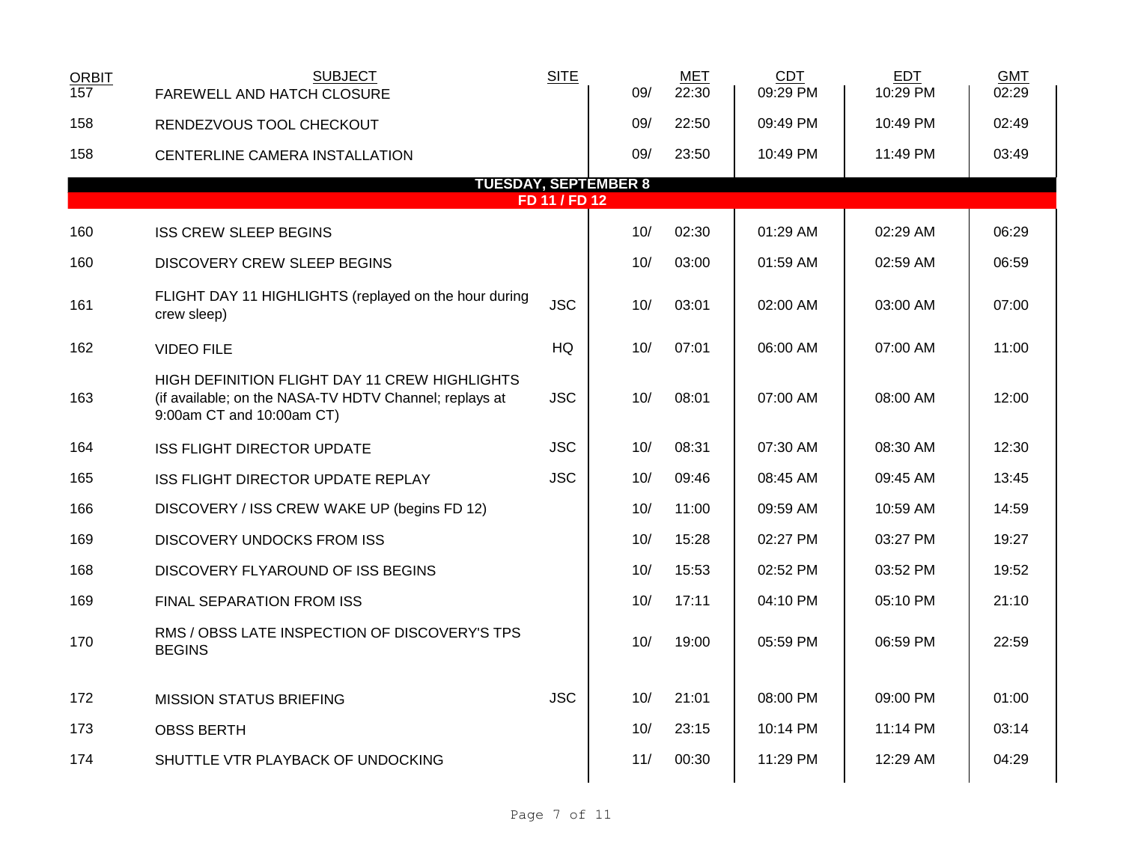| <b>ORBIT</b><br>157 | <b>SUBJECT</b><br>FAREWELL AND HATCH CLOSURE                                                                                         | <b>SITE</b>   | 09/ | <b>MET</b><br>22:30 | <b>CDT</b><br>09:29 PM | <b>EDT</b><br>10:29 PM | <b>GMT</b><br>02:29 |  |
|---------------------|--------------------------------------------------------------------------------------------------------------------------------------|---------------|-----|---------------------|------------------------|------------------------|---------------------|--|
| 158                 | RENDEZVOUS TOOL CHECKOUT                                                                                                             |               | 09/ | 22:50               | 09:49 PM               | 10:49 PM               | 02:49               |  |
| 158                 | CENTERLINE CAMERA INSTALLATION                                                                                                       |               | 09/ | 23:50               | 10:49 PM               | 11:49 PM               | 03:49               |  |
|                     | <b>TUESDAY, SEPTEMBER 8</b>                                                                                                          | FD 11 / FD 12 |     |                     |                        |                        |                     |  |
| 160                 | <b>ISS CREW SLEEP BEGINS</b>                                                                                                         |               | 10/ | 02:30               | 01:29 AM               | 02:29 AM               | 06:29               |  |
| 160                 | DISCOVERY CREW SLEEP BEGINS                                                                                                          |               | 10/ | 03:00               | 01:59 AM               | 02:59 AM               | 06:59               |  |
| 161                 | FLIGHT DAY 11 HIGHLIGHTS (replayed on the hour during<br>crew sleep)                                                                 | <b>JSC</b>    | 10/ | 03:01               | 02:00 AM               | 03:00 AM               | 07:00               |  |
| 162                 | <b>VIDEO FILE</b>                                                                                                                    | HQ            | 10/ | 07:01               | 06:00 AM               | 07:00 AM               | 11:00               |  |
| 163                 | HIGH DEFINITION FLIGHT DAY 11 CREW HIGHLIGHTS<br>(if available; on the NASA-TV HDTV Channel; replays at<br>9:00am CT and 10:00am CT) | <b>JSC</b>    | 10/ | 08:01               | 07:00 AM               | 08:00 AM               | 12:00               |  |
| 164                 | <b>ISS FLIGHT DIRECTOR UPDATE</b>                                                                                                    | <b>JSC</b>    | 10/ | 08:31               | 07:30 AM               | 08:30 AM               | 12:30               |  |
| 165                 | ISS FLIGHT DIRECTOR UPDATE REPLAY                                                                                                    | <b>JSC</b>    | 10/ | 09:46               | 08:45 AM               | 09:45 AM               | 13:45               |  |
| 166                 | DISCOVERY / ISS CREW WAKE UP (begins FD 12)                                                                                          |               | 10/ | 11:00               | 09:59 AM               | 10:59 AM               | 14:59               |  |
| 169                 | <b>DISCOVERY UNDOCKS FROM ISS</b>                                                                                                    |               | 10/ | 15:28               | 02:27 PM               | 03:27 PM               | 19:27               |  |
| 168                 | DISCOVERY FLYAROUND OF ISS BEGINS                                                                                                    |               | 10/ | 15:53               | 02:52 PM               | 03:52 PM               | 19:52               |  |
| 169                 | FINAL SEPARATION FROM ISS                                                                                                            |               | 10/ | 17:11               | 04:10 PM               | 05:10 PM               | 21:10               |  |
| 170                 | RMS / OBSS LATE INSPECTION OF DISCOVERY'S TPS<br><b>BEGINS</b>                                                                       |               | 10/ | 19:00               | 05:59 PM               | 06:59 PM               | 22:59               |  |
| 172                 | <b>MISSION STATUS BRIEFING</b>                                                                                                       | <b>JSC</b>    | 10/ | 21:01               | 08:00 PM               | 09:00 PM               | 01:00               |  |
| 173                 | <b>OBSS BERTH</b>                                                                                                                    |               | 10/ | 23:15               | 10:14 PM               | 11:14 PM               | 03:14               |  |
| 174                 | SHUTTLE VTR PLAYBACK OF UNDOCKING                                                                                                    |               | 11/ | 00:30               | 11:29 PM               | 12:29 AM               | 04:29               |  |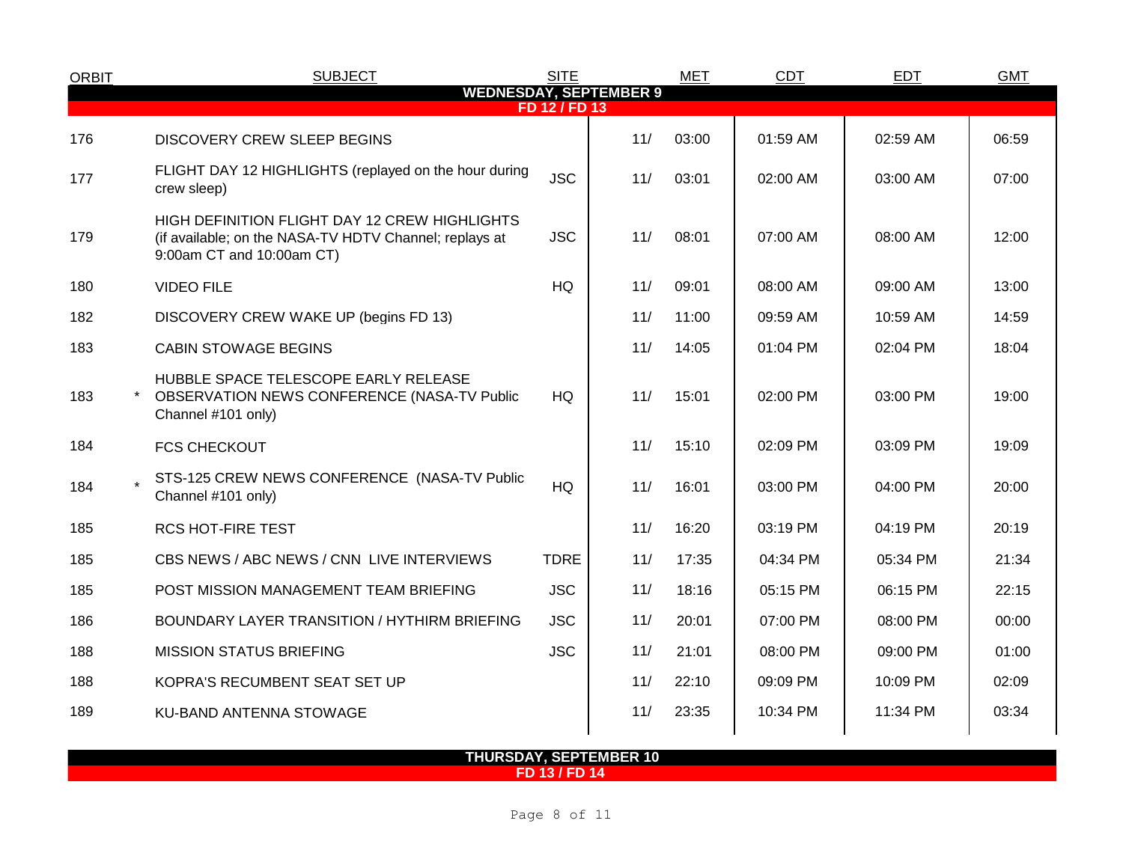| <b>ORBIT</b> | <b>SUBJECT</b>                                                                                                                                                                                                                                                                                                                                                                                                                                                                                                                                                                                                                                                                                                                                                                                                                                                                                                                                                                                                                                                                                                                                                                                                                                                                                                                                                                                                                                                                                                                                                                                                                                     | <b>SITE</b> |     | <b>MET</b> | <b>CDT</b> | <b>EDT</b> | <b>GMT</b> |
|--------------|----------------------------------------------------------------------------------------------------------------------------------------------------------------------------------------------------------------------------------------------------------------------------------------------------------------------------------------------------------------------------------------------------------------------------------------------------------------------------------------------------------------------------------------------------------------------------------------------------------------------------------------------------------------------------------------------------------------------------------------------------------------------------------------------------------------------------------------------------------------------------------------------------------------------------------------------------------------------------------------------------------------------------------------------------------------------------------------------------------------------------------------------------------------------------------------------------------------------------------------------------------------------------------------------------------------------------------------------------------------------------------------------------------------------------------------------------------------------------------------------------------------------------------------------------------------------------------------------------------------------------------------------------|-------------|-----|------------|------------|------------|------------|
|              | <b>WEDNESDAY, SEPTEMBER 9</b><br>FD 12 / FD 13<br>11/<br>03:00<br>01:59 AM<br>02:59 AM<br>06:59<br><b>DISCOVERY CREW SLEEP BEGINS</b><br>FLIGHT DAY 12 HIGHLIGHTS (replayed on the hour during<br><b>JSC</b><br>11/<br>03:01<br>02:00 AM<br>03:00 AM<br>07:00<br>crew sleep)<br>HIGH DEFINITION FLIGHT DAY 12 CREW HIGHLIGHTS<br><b>JSC</b><br>11/<br>08:01<br>07:00 AM<br>12:00<br>(if available; on the NASA-TV HDTV Channel; replays at<br>08:00 AM<br>9:00am CT and 10:00am CT)<br><b>HQ</b><br>11/<br>09:01<br>08:00 AM<br>09:00 AM<br>13:00<br><b>VIDEO FILE</b><br>11/<br>11:00<br>14:59<br>DISCOVERY CREW WAKE UP (begins FD 13)<br>09:59 AM<br>10:59 AM<br>11/<br>18:04<br>14:05<br>01:04 PM<br>02:04 PM<br><b>CABIN STOWAGE BEGINS</b><br>HUBBLE SPACE TELESCOPE EARLY RELEASE<br><b>HQ</b><br>11/<br>OBSERVATION NEWS CONFERENCE (NASA-TV Public<br>15:01<br>02:00 PM<br>03:00 PM<br>19:00<br>Channel #101 only)<br>11/<br>15:10<br>02:09 PM<br>03:09 PM<br>19:09<br><b>FCS CHECKOUT</b><br>STS-125 CREW NEWS CONFERENCE (NASA-TV Public<br>HQ<br>11/<br>16:01<br>03:00 PM<br>20:00<br>04:00 PM<br>Channel #101 only)<br>11/<br>16:20<br>20:19<br>03:19 PM<br>04:19 PM<br><b>RCS HOT-FIRE TEST</b><br>CBS NEWS / ABC NEWS / CNN LIVE INTERVIEWS<br><b>TDRE</b><br>11/<br>17:35<br>21:34<br>04:34 PM<br>05:34 PM<br>11/<br><b>JSC</b><br>18:16<br>22:15<br>POST MISSION MANAGEMENT TEAM BRIEFING<br>05:15 PM<br>06:15 PM<br>11/<br><b>JSC</b><br>BOUNDARY LAYER TRANSITION / HYTHIRM BRIEFING<br>20:01<br>07:00 PM<br>08:00 PM<br>00:00<br>11/<br><b>JSC</b><br>21:01<br>08:00 PM<br>09:00 PM<br>01:00<br><b>MISSION STATUS BRIEFING</b> |             |     |            |            |            |            |
| 176          |                                                                                                                                                                                                                                                                                                                                                                                                                                                                                                                                                                                                                                                                                                                                                                                                                                                                                                                                                                                                                                                                                                                                                                                                                                                                                                                                                                                                                                                                                                                                                                                                                                                    |             |     |            |            |            |            |
| 177          |                                                                                                                                                                                                                                                                                                                                                                                                                                                                                                                                                                                                                                                                                                                                                                                                                                                                                                                                                                                                                                                                                                                                                                                                                                                                                                                                                                                                                                                                                                                                                                                                                                                    |             |     |            |            |            |            |
| 179          |                                                                                                                                                                                                                                                                                                                                                                                                                                                                                                                                                                                                                                                                                                                                                                                                                                                                                                                                                                                                                                                                                                                                                                                                                                                                                                                                                                                                                                                                                                                                                                                                                                                    |             |     |            |            |            |            |
| 180          |                                                                                                                                                                                                                                                                                                                                                                                                                                                                                                                                                                                                                                                                                                                                                                                                                                                                                                                                                                                                                                                                                                                                                                                                                                                                                                                                                                                                                                                                                                                                                                                                                                                    |             |     |            |            |            |            |
| 182          |                                                                                                                                                                                                                                                                                                                                                                                                                                                                                                                                                                                                                                                                                                                                                                                                                                                                                                                                                                                                                                                                                                                                                                                                                                                                                                                                                                                                                                                                                                                                                                                                                                                    |             |     |            |            |            |            |
| 183          |                                                                                                                                                                                                                                                                                                                                                                                                                                                                                                                                                                                                                                                                                                                                                                                                                                                                                                                                                                                                                                                                                                                                                                                                                                                                                                                                                                                                                                                                                                                                                                                                                                                    |             |     |            |            |            |            |
| 183          |                                                                                                                                                                                                                                                                                                                                                                                                                                                                                                                                                                                                                                                                                                                                                                                                                                                                                                                                                                                                                                                                                                                                                                                                                                                                                                                                                                                                                                                                                                                                                                                                                                                    |             |     |            |            |            |            |
| 184          |                                                                                                                                                                                                                                                                                                                                                                                                                                                                                                                                                                                                                                                                                                                                                                                                                                                                                                                                                                                                                                                                                                                                                                                                                                                                                                                                                                                                                                                                                                                                                                                                                                                    |             |     |            |            |            |            |
| 184          |                                                                                                                                                                                                                                                                                                                                                                                                                                                                                                                                                                                                                                                                                                                                                                                                                                                                                                                                                                                                                                                                                                                                                                                                                                                                                                                                                                                                                                                                                                                                                                                                                                                    |             |     |            |            |            |            |
| 185          |                                                                                                                                                                                                                                                                                                                                                                                                                                                                                                                                                                                                                                                                                                                                                                                                                                                                                                                                                                                                                                                                                                                                                                                                                                                                                                                                                                                                                                                                                                                                                                                                                                                    |             |     |            |            |            |            |
| 185          |                                                                                                                                                                                                                                                                                                                                                                                                                                                                                                                                                                                                                                                                                                                                                                                                                                                                                                                                                                                                                                                                                                                                                                                                                                                                                                                                                                                                                                                                                                                                                                                                                                                    |             |     |            |            |            |            |
| 185          |                                                                                                                                                                                                                                                                                                                                                                                                                                                                                                                                                                                                                                                                                                                                                                                                                                                                                                                                                                                                                                                                                                                                                                                                                                                                                                                                                                                                                                                                                                                                                                                                                                                    |             |     |            |            |            |            |
| 186          |                                                                                                                                                                                                                                                                                                                                                                                                                                                                                                                                                                                                                                                                                                                                                                                                                                                                                                                                                                                                                                                                                                                                                                                                                                                                                                                                                                                                                                                                                                                                                                                                                                                    |             |     |            |            |            |            |
| 188          |                                                                                                                                                                                                                                                                                                                                                                                                                                                                                                                                                                                                                                                                                                                                                                                                                                                                                                                                                                                                                                                                                                                                                                                                                                                                                                                                                                                                                                                                                                                                                                                                                                                    |             |     |            |            |            |            |
| 188          | KOPRA'S RECUMBENT SEAT SET UP                                                                                                                                                                                                                                                                                                                                                                                                                                                                                                                                                                                                                                                                                                                                                                                                                                                                                                                                                                                                                                                                                                                                                                                                                                                                                                                                                                                                                                                                                                                                                                                                                      |             | 11/ | 22:10      | 09:09 PM   | 10:09 PM   | 02:09      |
| 189          | <b>KU-BAND ANTENNA STOWAGE</b>                                                                                                                                                                                                                                                                                                                                                                                                                                                                                                                                                                                                                                                                                                                                                                                                                                                                                                                                                                                                                                                                                                                                                                                                                                                                                                                                                                                                                                                                                                                                                                                                                     |             | 11/ | 23:35      | 10:34 PM   | 11:34 PM   | 03:34      |
|              |                                                                                                                                                                                                                                                                                                                                                                                                                                                                                                                                                                                                                                                                                                                                                                                                                                                                                                                                                                                                                                                                                                                                                                                                                                                                                                                                                                                                                                                                                                                                                                                                                                                    |             |     |            |            |            |            |

**THURSDAY, SEPTEMBER 10 FD 13 / FD 14**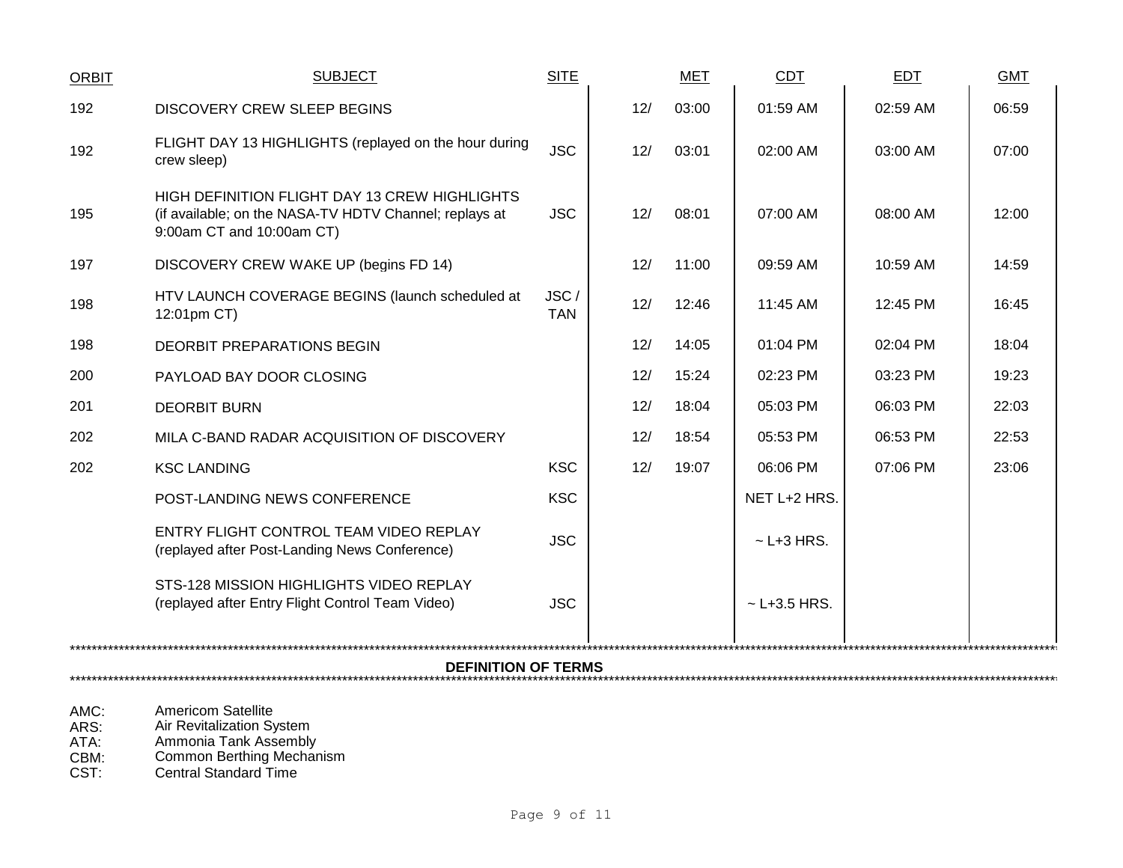| <b>ORBIT</b> | <b>SUBJECT</b>                                                                                                                              | <b>SITE</b>        |     | <b>MET</b> | <b>CDT</b>        | <b>EDT</b> | <b>GMT</b> |  |
|--------------|---------------------------------------------------------------------------------------------------------------------------------------------|--------------------|-----|------------|-------------------|------------|------------|--|
| 192          | <b>DISCOVERY CREW SLEEP BEGINS</b>                                                                                                          |                    | 12/ | 03:00      | 01:59 AM          | 02:59 AM   | 06:59      |  |
| 192          | FLIGHT DAY 13 HIGHLIGHTS (replayed on the hour during<br>crew sleep)                                                                        | <b>JSC</b>         | 12/ | 03:01      | 02:00 AM          | 03:00 AM   | 07:00      |  |
| 195          | <b>HIGH DEFINITION FLIGHT DAY 13 CREW HIGHLIGHTS</b><br>(if available; on the NASA-TV HDTV Channel; replays at<br>9:00am CT and 10:00am CT) | <b>JSC</b>         | 12/ | 08:01      | $07:00$ AM        | 08:00 AM   | 12:00      |  |
| 197          | DISCOVERY CREW WAKE UP (begins FD 14)                                                                                                       |                    | 12/ | 11:00      | 09:59 AM          | 10:59 AM   | 14:59      |  |
| 198          | HTV LAUNCH COVERAGE BEGINS (launch scheduled at<br>12:01pm CT)                                                                              | JSC/<br><b>TAN</b> | 12/ | 12:46      | 11:45 AM          | 12:45 PM   | 16:45      |  |
| 198          | <b>DEORBIT PREPARATIONS BEGIN</b>                                                                                                           |                    | 12/ | 14:05      | 01:04 PM          | 02:04 PM   | 18:04      |  |
| 200          | PAYLOAD BAY DOOR CLOSING                                                                                                                    |                    | 12/ | 15:24      | 02:23 PM          | 03:23 PM   | 19:23      |  |
| 201          | <b>DEORBIT BURN</b>                                                                                                                         |                    | 12/ | 18:04      | 05:03 PM          | 06:03 PM   | 22:03      |  |
| 202          | MILA C-BAND RADAR ACQUISITION OF DISCOVERY                                                                                                  |                    | 12/ | 18:54      | 05:53 PM          | 06:53 PM   | 22:53      |  |
| 202          | <b>KSC LANDING</b>                                                                                                                          | <b>KSC</b>         | 12/ | 19:07      | 06:06 PM          | 07:06 PM   | 23:06      |  |
|              | POST-LANDING NEWS CONFERENCE                                                                                                                | <b>KSC</b>         |     |            | NET L+2 HRS.      |            |            |  |
|              | ENTRY FLIGHT CONTROL TEAM VIDEO REPLAY<br>(replayed after Post-Landing News Conference)                                                     | <b>JSC</b>         |     |            | $\sim$ L+3 HRS.   |            |            |  |
|              | STS-128 MISSION HIGHLIGHTS VIDEO REPLAY<br>(replayed after Entry Flight Control Team Video)                                                 | <b>JSC</b>         |     |            | $\sim$ L+3.5 HRS. |            |            |  |
|              | <b>DEFINITION OF TERMS</b>                                                                                                                  |                    |     |            |                   |            |            |  |
|              |                                                                                                                                             |                    |     |            |                   |            |            |  |

AMC: Americom Satellite<br>
ARS: Air Revitalization Sy<br>
ATA: Ammonia Tank Ass

ARS: Air Revitalization System

ATA: Ammonia Tank Assembly

CBM: Common Berthing Mechanism

CST: Central Standard Time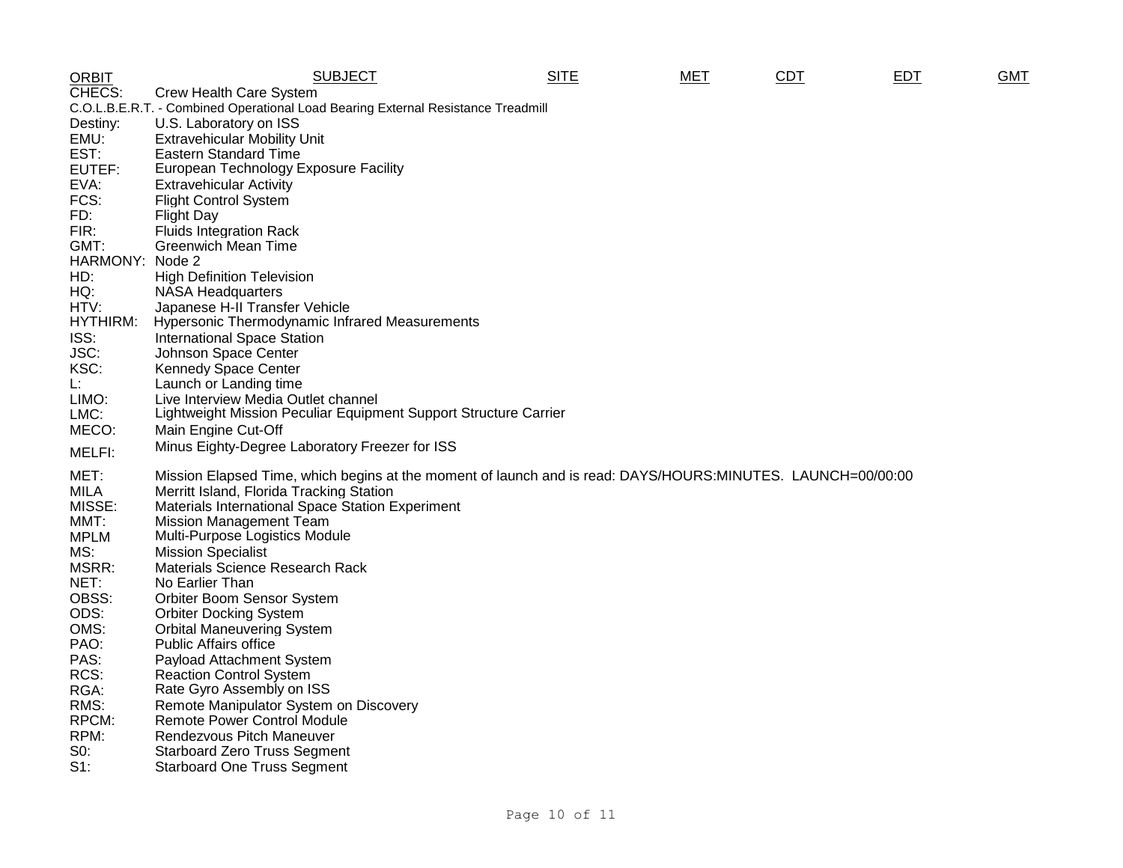| <b>ORBIT</b>    | <b>SUBJECT</b>                                                                                              | <b>SITE</b> | <b>MET</b> | <b>CDT</b> | EDT | <b>GMT</b> |
|-----------------|-------------------------------------------------------------------------------------------------------------|-------------|------------|------------|-----|------------|
| CHECS:          | Crew Health Care System                                                                                     |             |            |            |     |            |
|                 | C.O.L.B.E.R.T. - Combined Operational Load Bearing External Resistance Treadmill                            |             |            |            |     |            |
| Destiny:        | U.S. Laboratory on ISS                                                                                      |             |            |            |     |            |
| EMU:            | <b>Extravehicular Mobility Unit</b>                                                                         |             |            |            |     |            |
| EST:            | Eastern Standard Time                                                                                       |             |            |            |     |            |
| EUTEF:          | European Technology Exposure Facility                                                                       |             |            |            |     |            |
| EVA:            | <b>Extravehicular Activity</b>                                                                              |             |            |            |     |            |
| FCS:            | <b>Flight Control System</b>                                                                                |             |            |            |     |            |
| FD:             | <b>Flight Day</b>                                                                                           |             |            |            |     |            |
| FIR:            | <b>Fluids Integration Rack</b>                                                                              |             |            |            |     |            |
| GMT:            | <b>Greenwich Mean Time</b>                                                                                  |             |            |            |     |            |
| HARMONY: Node 2 |                                                                                                             |             |            |            |     |            |
| HD:             | <b>High Definition Television</b>                                                                           |             |            |            |     |            |
| HQ:             | <b>NASA Headquarters</b>                                                                                    |             |            |            |     |            |
| HTV:            | Japanese H-II Transfer Vehicle                                                                              |             |            |            |     |            |
| HYTHIRM:        | Hypersonic Thermodynamic Infrared Measurements                                                              |             |            |            |     |            |
| ISS:            | <b>International Space Station</b>                                                                          |             |            |            |     |            |
| JSC:            | Johnson Space Center                                                                                        |             |            |            |     |            |
| KSC:            | <b>Kennedy Space Center</b>                                                                                 |             |            |            |     |            |
| Ŀ.              | Launch or Landing time                                                                                      |             |            |            |     |            |
| LIMO:           | Live Interview Media Outlet channel                                                                         |             |            |            |     |            |
| LMC:            | Lightweight Mission Peculiar Equipment Support Structure Carrier                                            |             |            |            |     |            |
| MECO:           | Main Engine Cut-Off                                                                                         |             |            |            |     |            |
| MELFI:          | Minus Eighty-Degree Laboratory Freezer for ISS                                                              |             |            |            |     |            |
| MET:            | Mission Elapsed Time, which begins at the moment of launch and is read: DAYS/HOURS:MINUTES. LAUNCH=00/00:00 |             |            |            |     |            |
| <b>MILA</b>     | Merritt Island, Florida Tracking Station                                                                    |             |            |            |     |            |
| MISSE:          | Materials International Space Station Experiment                                                            |             |            |            |     |            |
| MMT:            | <b>Mission Management Team</b>                                                                              |             |            |            |     |            |
| <b>MPLM</b>     | Multi-Purpose Logistics Module                                                                              |             |            |            |     |            |
| MS:             | <b>Mission Specialist</b>                                                                                   |             |            |            |     |            |
| MSRR:           | Materials Science Research Rack                                                                             |             |            |            |     |            |
| NET:            | No Earlier Than                                                                                             |             |            |            |     |            |
| OBSS:           | Orbiter Boom Sensor System                                                                                  |             |            |            |     |            |
| ODS:            | <b>Orbiter Docking System</b>                                                                               |             |            |            |     |            |
| OMS:            | <b>Orbital Maneuvering System</b>                                                                           |             |            |            |     |            |
| PAO:            | Public Affairs office                                                                                       |             |            |            |     |            |
| PAS:            | Payload Attachment System                                                                                   |             |            |            |     |            |
| RCS:            | <b>Reaction Control System</b>                                                                              |             |            |            |     |            |
| RGA:            | Rate Gyro Assembly on ISS                                                                                   |             |            |            |     |            |
| RMS:            | Remote Manipulator System on Discovery                                                                      |             |            |            |     |            |
| RPCM:           | Remote Power Control Module                                                                                 |             |            |            |     |            |
| RPM:            | Rendezvous Pitch Maneuver                                                                                   |             |            |            |     |            |
| $S0$ :          | <b>Starboard Zero Truss Segment</b>                                                                         |             |            |            |     |            |
| $S1$ :          | <b>Starboard One Truss Segment</b>                                                                          |             |            |            |     |            |